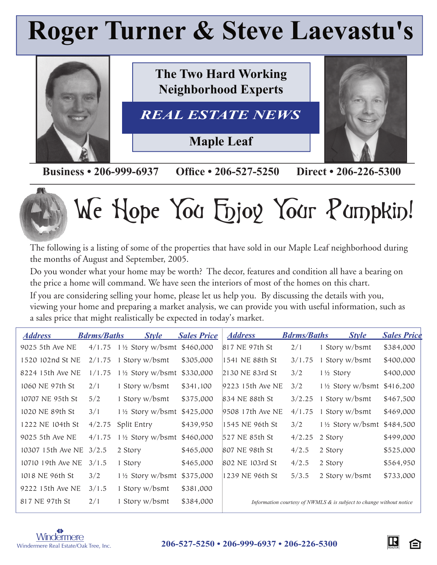## **Roger Turner & Steve Laevastu's**



**Business • 206-999-6937 Office • 206-527-5250 Direct • 206-226-5300** 



# We Hope You Enjoy Your Pumpkin!

The following is a listing of some of the properties that have sold in our Maple Leaf neighborhood during the months of August and September, 2005.

Do you wonder what your home may be worth? The decor, features and condition all have a bearing on the price a home will command. We have seen the interiors of most of the homes on this chart.

If you are considering selling your home, please let us help you. By discussing the details with you, viewing your home and preparing a market analysis, we can provide you with useful information, such as a sales price that might realistically be expected in today's market.

| <b>Address</b>    | <b>Bdrms/Baths</b> | <b>Style</b>                          | <b>Sales Price</b> | <b>Address</b>   | <b>Bdrms/Baths</b> | <b>Style</b>                                                           | <b>Sales Price</b> |
|-------------------|--------------------|---------------------------------------|--------------------|------------------|--------------------|------------------------------------------------------------------------|--------------------|
| 9025 5th Ave NE   | 4/1.75             | $1\frac{1}{2}$ Story w/bsmt \$460,000 |                    | 817 NE 97th St   | 2/1                | 1 Story w/bsmt                                                         | \$384,000          |
| 1520 102nd St NE  | 2/1.75             | Story w/bsmt                          | \$305,000          | 1541 NE 88th St  | 3/1.75             | 1 Story w/bsmt                                                         | \$400,000          |
| 8224 15th Ave NE  | 1/1.75             | 1 1/2 Story w/bsmt \$330,000          |                    | 2130 NE 83rd St  | 3/2                | 1½ Story                                                               | \$400,000          |
| 1060 NE 97th St   | 2/1                | 1 Story w/bsmt                        | \$341,100          | 9223 15th Ave NE | 3/2                | $1\frac{1}{2}$ Story w/bsmt                                            | \$416,200          |
| 10707 NE 95th St  | 5/2                | 1 Story w/bsmt                        | \$375,000          | 834 NE 88th St   | 3/2.25             | 1 Story w/bsmt                                                         | \$467,500          |
| 1020 NE 89th St   | 3/1                | 1 1/2 Story w/bsmt \$425,000          |                    | 9508 17th Ave NE | 4/1.75             | 1 Story w/bsmt                                                         | \$469,000          |
| 1222 NE 104th St  | 4/2.75             | Split Entry                           | \$439,950          | 1545 NE 96th St  | 3/2                | $1\frac{1}{2}$ Story w/bsmt                                            | \$484,500          |
| 9025 5th Ave NE   | 4/1.75             | $1\frac{1}{2}$ Story w/bsmt \$460,000 |                    | 527 NE 85th St   | 4/2.25             | 2 Story                                                                | \$499,000          |
| 10307 15th Ave NE | 3/2.5              | 2 Story                               | \$465,000          | 807 NE 98th St   | 4/2.5              | 2 Story                                                                | \$525,000          |
| 10710 19th Ave NE | 3/1.5              | 1 Story                               | \$465,000          | 802 NE 103rd St  | 4/2.5              | 2 Story                                                                | \$564,950          |
| 1018 NE 96th St   | 3/2                | 1 1/2 Story w/bsmt \$375,000          |                    | 1239 NE 96th St  | 5/3.5              | 2 Story w/bsmt                                                         | \$733,000          |
| 9222 15th Ave NE  | 3/1.5              | Story w/bsmt                          | \$381,000          |                  |                    |                                                                        |                    |
| 817 NE 97th St    | 2/1                | Story w/bsmt                          | \$384,000          |                  |                    | Information courtesy of NWMLS $\&$ is subject to change without notice |                    |